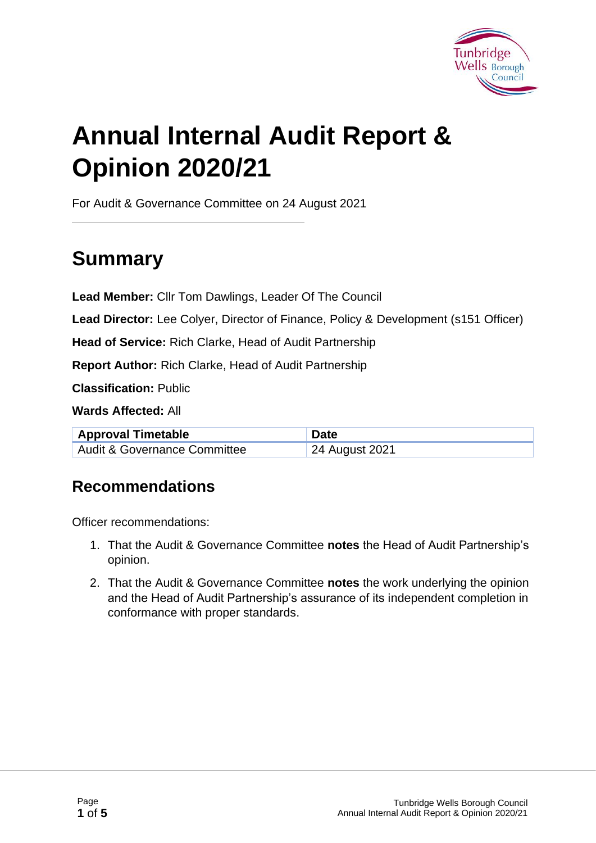

# **Annual Internal Audit Report & Opinion 2020/21**

For Audit & Governance Committee on 24 August 2021

# **Summary**

**Lead Member:** Cllr Tom Dawlings, Leader Of The Council

**Lead Director:** Lee Colyer, Director of Finance, Policy & Development (s151 Officer)

**Head of Service:** Rich Clarke, Head of Audit Partnership

**Report Author:** Rich Clarke, Head of Audit Partnership

**Classification:** Public

**Wards Affected:** All

| <b>Approval Timetable</b>               | <b>Date</b>    |
|-----------------------------------------|----------------|
| <b>Audit &amp; Governance Committee</b> | 24 August 2021 |

#### **Recommendations**

Officer recommendations:

- 1. That the Audit & Governance Committee **notes** the Head of Audit Partnership's opinion.
- 2. That the Audit & Governance Committee **notes** the work underlying the opinion and the Head of Audit Partnership's assurance of its independent completion in conformance with proper standards.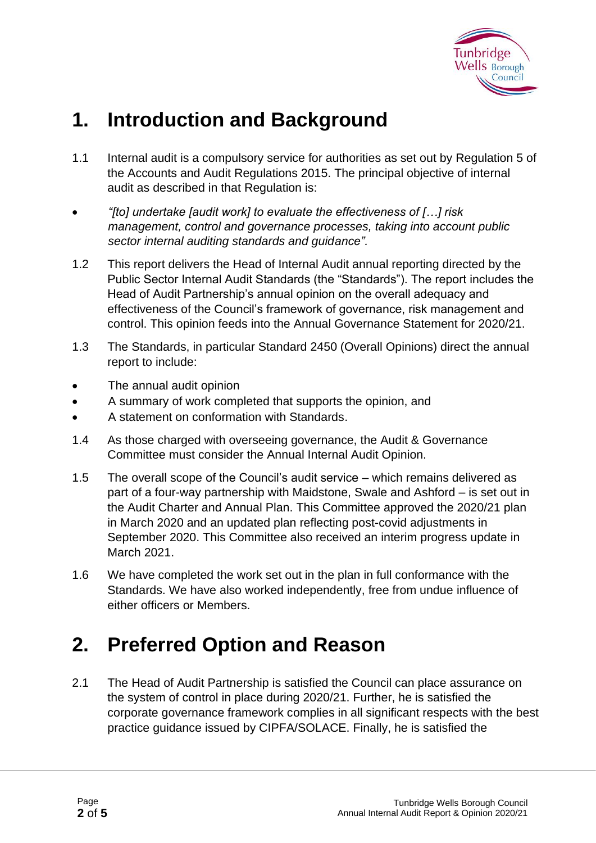

# **1. Introduction and Background**

- 1.1 Internal audit is a compulsory service for authorities as set out by Regulation 5 of the Accounts and Audit Regulations 2015. The principal objective of internal audit as described in that Regulation is:
- *"[to] undertake [audit work] to evaluate the effectiveness of […] risk management, control and governance processes, taking into account public sector internal auditing standards and guidance".*
- 1.2 This report delivers the Head of Internal Audit annual reporting directed by the Public Sector Internal Audit Standards (the "Standards"). The report includes the Head of Audit Partnership's annual opinion on the overall adequacy and effectiveness of the Council's framework of governance, risk management and control. This opinion feeds into the Annual Governance Statement for 2020/21.
- 1.3 The Standards, in particular Standard 2450 (Overall Opinions) direct the annual report to include:
- The annual audit opinion
- A summary of work completed that supports the opinion, and
- A statement on conformation with Standards.
- 1.4 As those charged with overseeing governance, the Audit & Governance Committee must consider the Annual Internal Audit Opinion.
- 1.5 The overall scope of the Council's audit service which remains delivered as part of a four-way partnership with Maidstone, Swale and Ashford – is set out in the Audit Charter and Annual Plan. This Committee approved the 2020/21 plan in March 2020 and an updated plan reflecting post-covid adjustments in September 2020. This Committee also received an interim progress update in March 2021.
- 1.6 We have completed the work set out in the plan in full conformance with the Standards. We have also worked independently, free from undue influence of either officers or Members.

# **2. Preferred Option and Reason**

2.1 The Head of Audit Partnership is satisfied the Council can place assurance on the system of control in place during 2020/21. Further, he is satisfied the corporate governance framework complies in all significant respects with the best practice guidance issued by CIPFA/SOLACE. Finally, he is satisfied the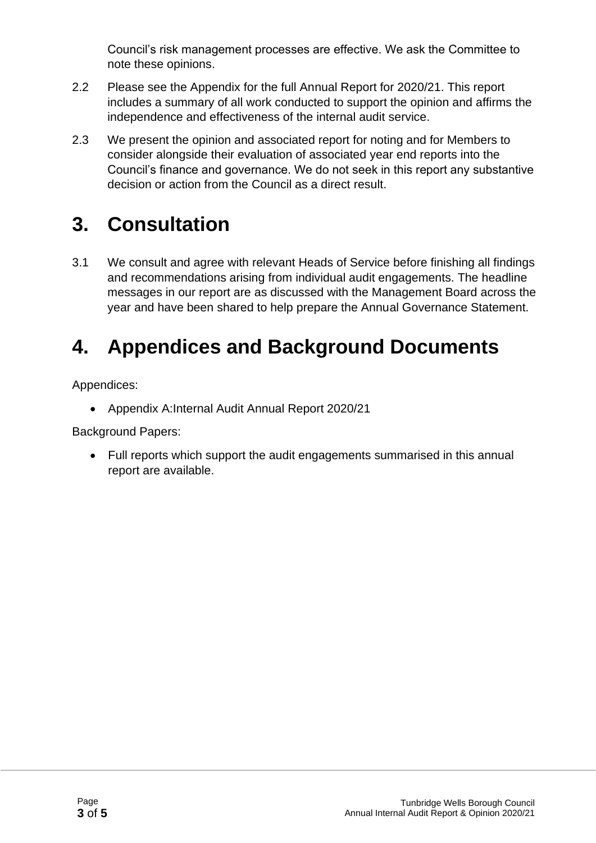Council's risk management processes are effective. We ask the Committee to note these opinions.

- 2.2 Please see the Appendix for the full Annual Report for 2020/21. This report includes a summary of all work conducted to support the opinion and affirms the independence and effectiveness of the internal audit service.
- 2.3 We present the opinion and associated report for noting and for Members to consider alongside their evaluation of associated year end reports into the Council's finance and governance. We do not seek in this report any substantive decision or action from the Council as a direct result.

# **3. Consultation**

3.1 We consult and agree with relevant Heads of Service before finishing all findings and recommendations arising from individual audit engagements. The headline messages in our report are as discussed with the Management Board across the year and have been shared to help prepare the Annual Governance Statement.

# **4. Appendices and Background Documents**

Appendices:

• Appendix A:Internal Audit Annual Report 2020/21

Background Papers:

• Full reports which support the audit engagements summarised in this annual report are available.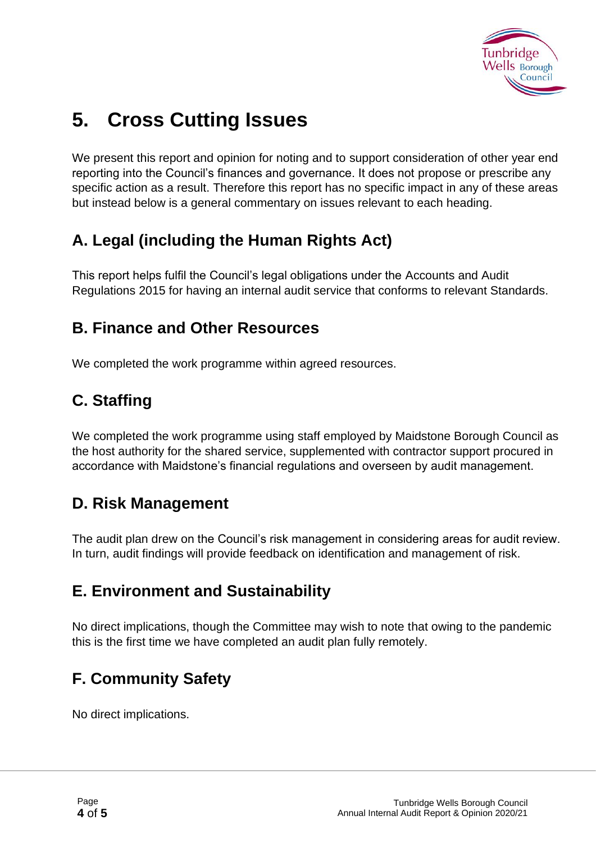

# **5. Cross Cutting Issues**

We present this report and opinion for noting and to support consideration of other year end reporting into the Council's finances and governance. It does not propose or prescribe any specific action as a result. Therefore this report has no specific impact in any of these areas but instead below is a general commentary on issues relevant to each heading.

### **A. Legal (including the Human Rights Act)**

This report helps fulfil the Council's legal obligations under the Accounts and Audit Regulations 2015 for having an internal audit service that conforms to relevant Standards.

#### **B. Finance and Other Resources**

We completed the work programme within agreed resources.

### **C. Staffing**

We completed the work programme using staff employed by Maidstone Borough Council as the host authority for the shared service, supplemented with contractor support procured in accordance with Maidstone's financial regulations and overseen by audit management.

#### **D. Risk Management**

The audit plan drew on the Council's risk management in considering areas for audit review. In turn, audit findings will provide feedback on identification and management of risk.

### **E. Environment and Sustainability**

No direct implications, though the Committee may wish to note that owing to the pandemic this is the first time we have completed an audit plan fully remotely.

### **F. Community Safety**

No direct implications.